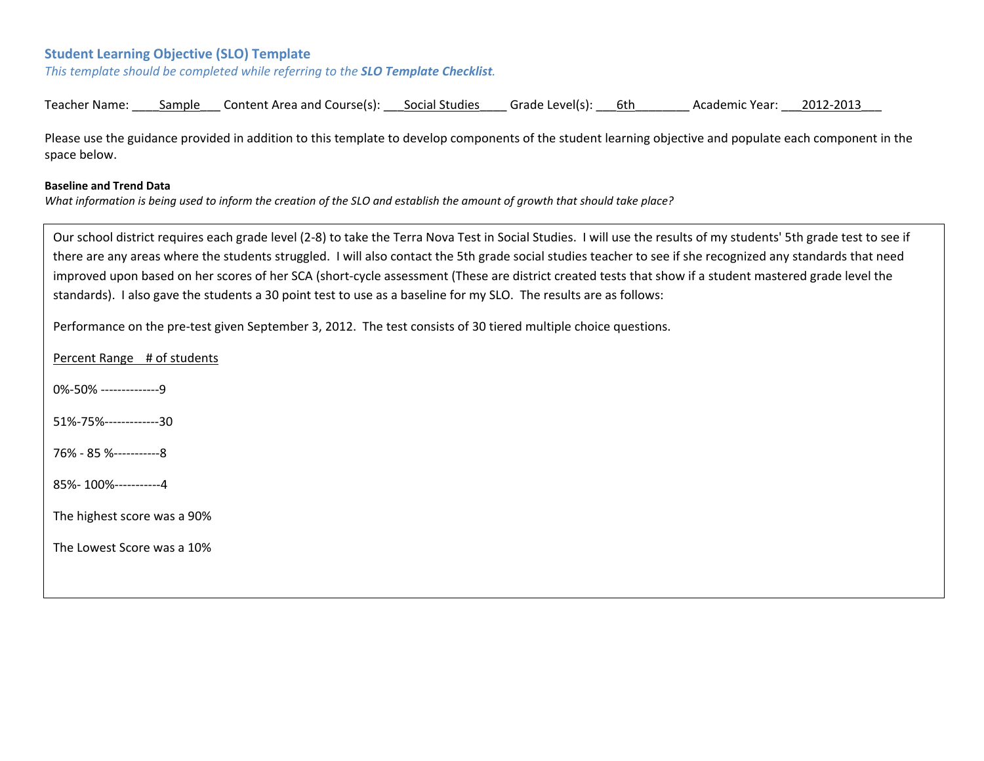#### **Student Learning Objective (SLO) Template**

*This template should be completed while referring to the SLO Template Checklist.*

| Teacher Name: | sample | Content Area and Course(s): | Social Studies | Grade Level(s): | 6th | Academic Year: | 2012-2013 |
|---------------|--------|-----------------------------|----------------|-----------------|-----|----------------|-----------|
|---------------|--------|-----------------------------|----------------|-----------------|-----|----------------|-----------|

Please use the guidance provided in addition to this template to develop components of the student learning objective and populate each component in the space below.

#### **Baseline and Trend Data**

What information is being used to inform the creation of the SLO and establish the amount of growth that should take place?

Our school district requires each grade level (2‐8) to take the Terra Nova Test in Social Studies. I will use the results of my students' 5th grade test to see if there are any areas where the students struggled. I will also contact the 5th grade social studies teacher to see if she recognized any standards that need improved upon based on her scores of her SCA (short-cycle assessment (These are district created tests that show if a student mastered grade level the standards). I also gave the students <sup>a</sup> 30 point test to use as <sup>a</sup> baseline for my SLO. The results are as follows:

Performance on the pre‐test given September 3, 2012. The test consists of 30 tiered multiple choice questions.

Percent Range # of students

0%-50% ---------------9

51%‐75%‐‐‐‐‐‐‐‐‐‐‐‐‐30

76% ‐ 85 %‐‐‐‐‐‐‐‐‐‐‐8

85%‐ 100%‐‐‐‐‐‐‐‐‐‐‐4

The highest score was <sup>a</sup> 90%

The Lowest Score was <sup>a</sup> 10%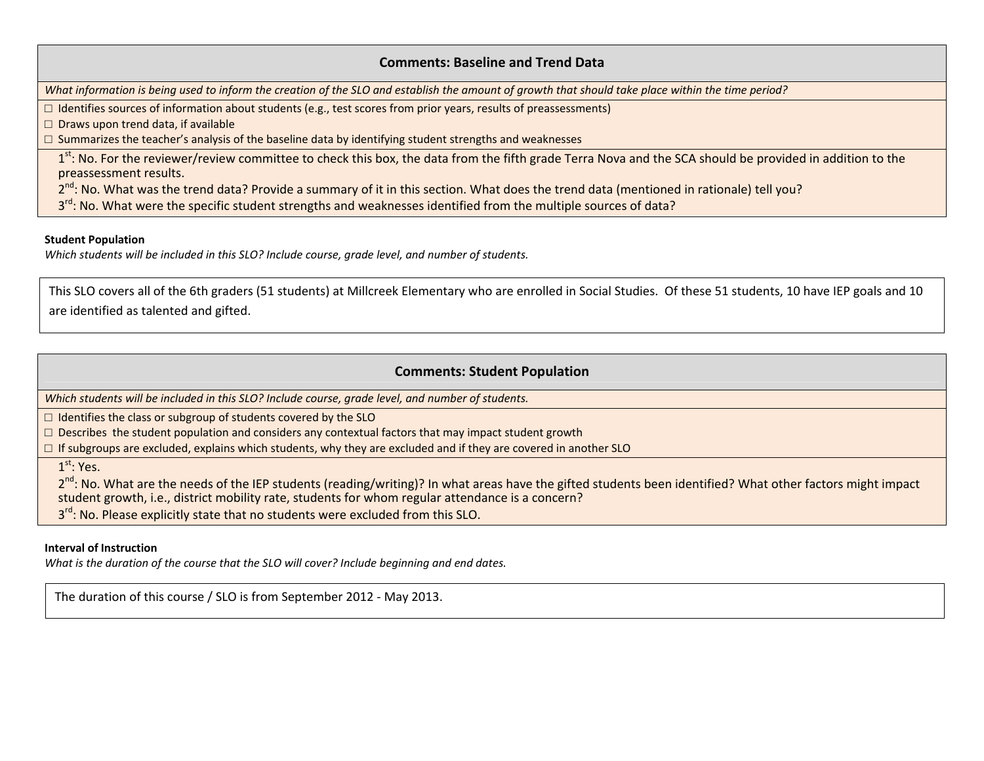#### **Comments: Baseline and Trend Data**

What information is being used to inform the creation of the SLO and establish the amount of growth that should take place within the time period?

□ Identifies sources of information about students (e.g., test scores from prior years, results of preassessments)

□ Draws upon trend data, if available

 $\Box$  Summarizes the teacher's analysis of the baseline data by identifying student strengths and weaknesses

1<sup>st</sup>: No. For the reviewer/review committee to check this box, the data from the fifth grade Terra Nova and the SCA should be provided in addition to the preassessment results.

2<sup>nd</sup>: No. What was the trend data? Provide a summary of it in this section. What does the trend data (mentioned in rationale) tell you?

3<sup>rd</sup>: No. What were the specific student strengths and weaknesses identified from the multiple sources of data?

#### **Student Population**

*Which students will be included in this SLO? Include course, grade level, and number of students.*

This SLO covers all of the 6th graders (51 students) at Millcreek Elementary who are enrolled in Social Studies. Of these 51 students, 10 have IEP goals and 10 are identified as talented and gifted.

### **Comments: Student Population**

*Which students will be included in this SLO? Include course, grade level, and number of students.*

□ Identifies the class or subgroup of students covered by the SLO

 $\Box$  Describes the student population and considers any contextual factors that may impact student growth

 $\Box$  If subgroups are excluded, explains which students, why they are excluded and if they are covered in another SLO

 $1^{\rm st}$ : Yes.

2<sup>nd</sup>: No. What are the needs of the IEP students (reading/writing)? In what areas have the gifted students been identified? What other factors might impact student growth, i.e., district mobility rate, students for whom regular attendance is <sup>a</sup> concern? 3<sup>rd</sup>: No. Please explicitly state that no students were excluded from this SLO.

#### **Interval of Instruction**

*What is the duration of the course that the SLO will cover? Include beginning and end dates.*

The duration of this course / SLO is from September 2012 ‐ May 2013.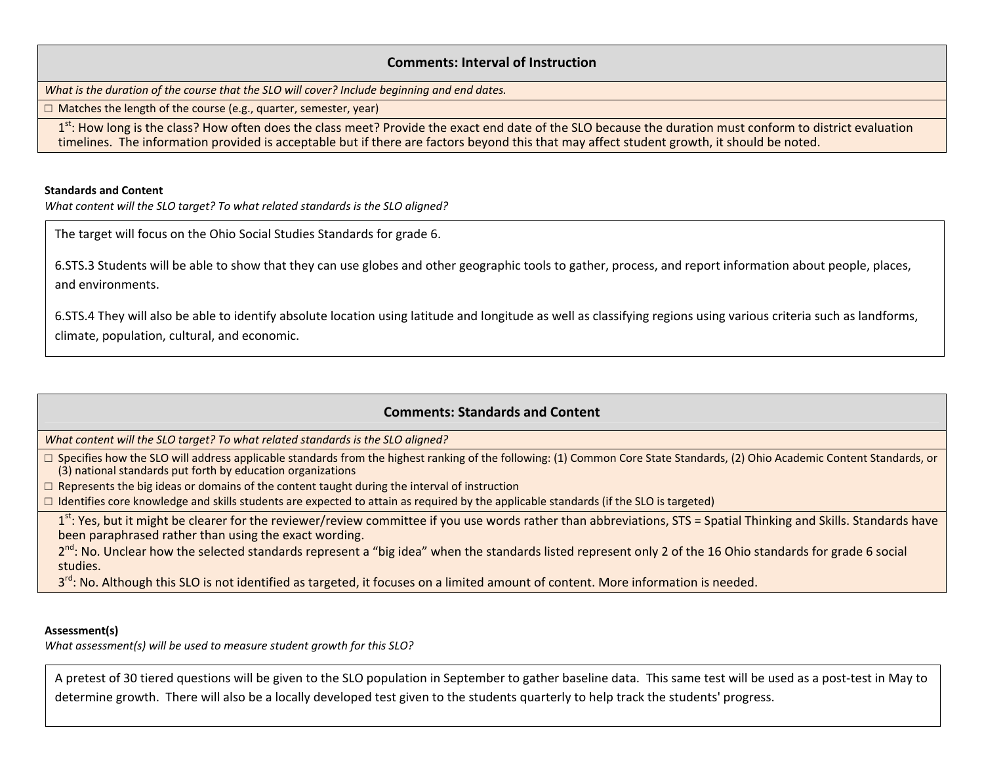#### **Comments: Interval of Instruction**

*What is the duration of the course that the SLO will cover? Include beginning and end dates.*

□ Matches the length of the course (e.g., quarter, semester, year)

1<sup>st</sup>: How long is the class? How often does the class meet? Provide the exact end date of the SLO because the duration must conform to district evaluation timelines. The information provided is acceptable but if there are factors beyond this that may affect student growth, it should be noted.

#### **Standards and Content**

*What content will the SLO target? To what related standards is the SLO aligned?*

The target will focus on the Ohio Social Studies Standards for grade 6.

6.STS.3 Students will be able to show that they can use globes and other geographic tools to gather, process, and report information about people, places, and environments.

6.STS.4 They will also be able to identify absolute location using latitude and longitude as well as classifying regions using various criteria such as landforms, climate, population, cultural, and economic.

### **Comments: Standards and Content**

*What content will the SLO target? To what related standards is the SLO aligned?*

□ Specifies how the SLO will address applicable standards from the highest ranking of the following: (1) Common Core State Standards, (2) Ohio Academic Content Standards, or (3) national standards put forth by education organizations

 $\Box$  Represents the big ideas or domains of the content taught during the interval of instruction

 $\Box$  Identifies core knowledge and skills students are expected to attain as required by the applicable standards (if the SLO is targeted)

1<sup>st</sup>: Yes, but it might be clearer for the reviewer/review committee if you use words rather than abbreviations, STS = Spatial Thinking and Skills. Standards have been paraphrased rather than using the exact wording.

2<sup>nd</sup>: No. Unclear how the selected standards represent a "big idea" when the standards listed represent only 2 of the 16 Ohio standards for grade 6 social studies.

3<sup>rd</sup>: No. Although this SLO is not identified as targeted, it focuses on a limited amount of content. More information is needed.

#### **Assessment(s)**

*What assessment(s) will be used to measure student growth for this SLO?*

A pretest of 30 tiered questions will be given to the SLO population in September to gather baseline data. This same test will be used as <sup>a</sup> post‐test in May to determine growth. There will also be <sup>a</sup> locally developed test given to the students quarterly to help track the students' progress.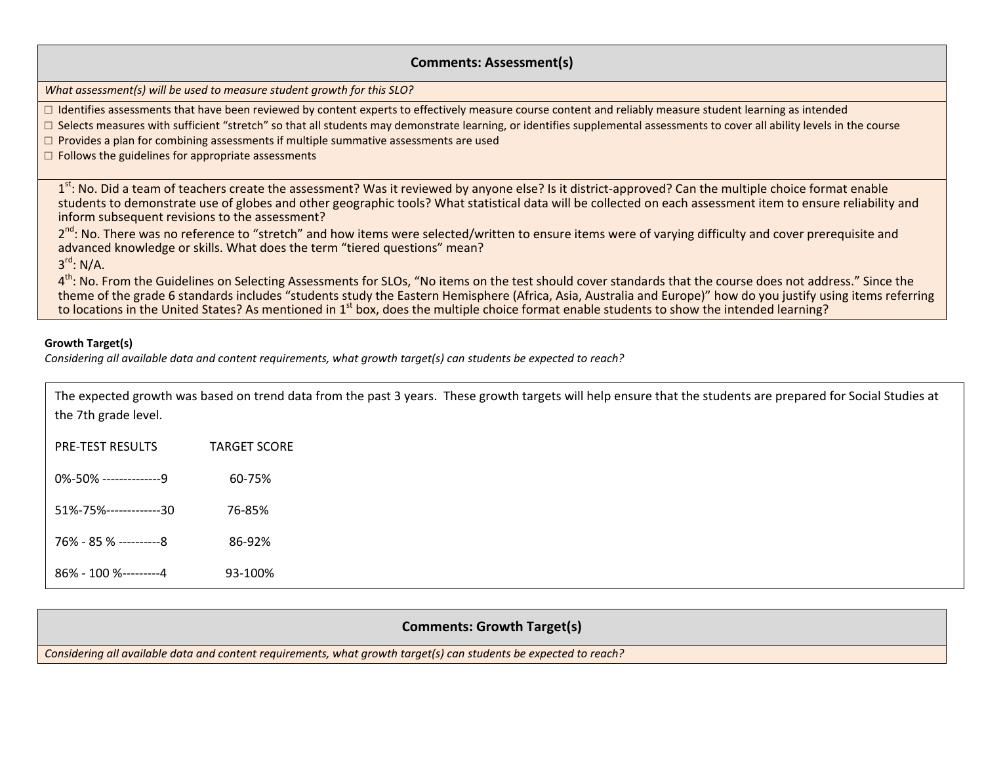#### **Comments: Assessment(s)**

*What assessment(s) will be used to measure student growth for this SLO?*

 $\Box$  Identifies assessments that have been reviewed by content experts to effectively measure course content and reliably measure student learning as intended

□ Selects measures with sufficient "stretch" so that all students may demonstrate learning, or identifies supplemental assessments to cover all ability levels in the course

 $\Box$  Provides a plan for combining assessments if multiple summative assessments are used

 $\Box$  Follows the guidelines for appropriate assessments

1<sup>st</sup>: No. Did a team of teachers create the assessment? Was it reviewed by anyone else? Is it district-approved? Can the multiple choice format enable students to demonstrate use of globes and other geographic tools? What statistical data will be collected on each assessment item to ensure reliability and inform subsequent revisions to the assessment?

2<sup>nd</sup>: No. There was no reference to "stretch" and how items were selected/written to ensure items were of varying difficulty and cover prerequisite and advanced knowledge or skills. What does the term "tiered questions" mean?

3<sup>rd</sup>: N/A.

4<sup>th</sup>: No. From the Guidelines on Selecting Assessments for SLOs, "No items on the test should cover standards that the course does not address." Since the theme of the grade 6 standards includes "students study the Eastern Hemisphere (Africa, Asia, Australia and Europe)" how do you justify using items referring to locations in the United States? As mentioned in 1<sup>st</sup> box, does the multiple choice format enable students to show the intended learning?

#### **Growth Target(s)**

Considering all available data and content requirements, what growth target(s) can students be expected to reach?

| the 7th grade level.    | The expected growth was based on trend data from the past 3 years. These growth targets will help ensure that the students are prepared for Social Studies at |
|-------------------------|---------------------------------------------------------------------------------------------------------------------------------------------------------------|
| <b>PRE-TEST RESULTS</b> | <b>TARGET SCORE</b>                                                                                                                                           |
| 0%-50% ---------------9 | 60-75%                                                                                                                                                        |
| 51%-75%-------------30  | 76-85%                                                                                                                                                        |
| 76% - 85 % ----------8  | 86-92%                                                                                                                                                        |
| 86% - 100 %---------4   | 93-100%                                                                                                                                                       |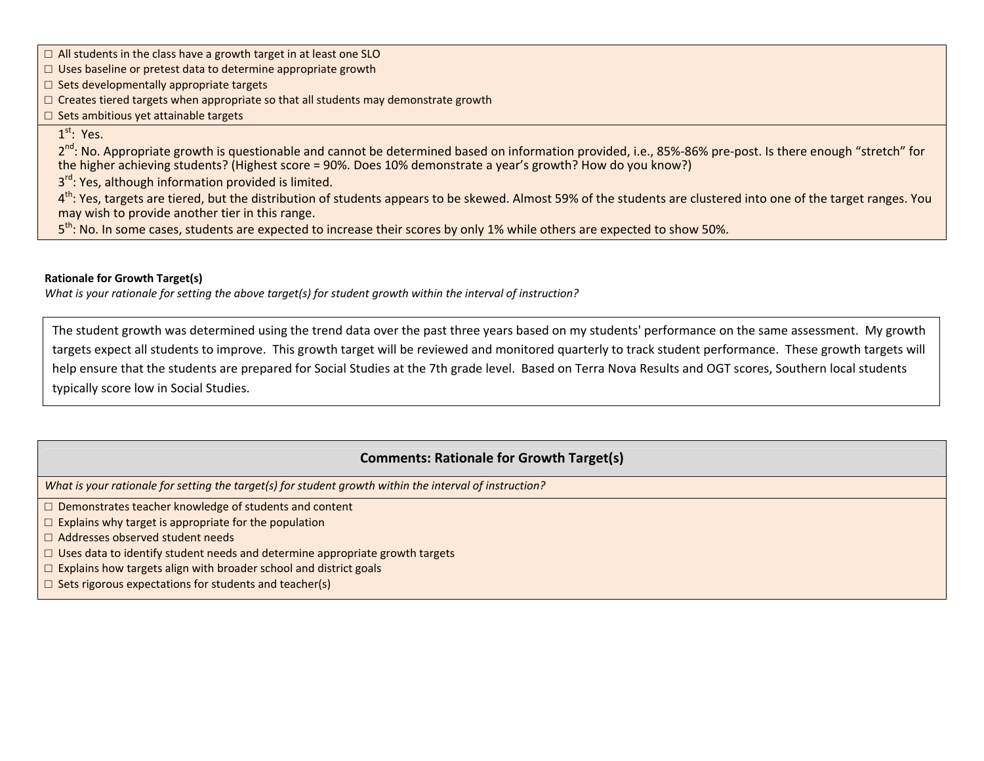□ All students in the class have a growth target in at least one SLO

 $\Box$  Uses baseline or pretest data to determine appropriate growth

□ Sets developmentally appropriate targets

 $\Box$  Creates tiered targets when appropriate so that all students may demonstrate growth

 $\Box$  Sets ambitious yet attainable targets

### $1^{\rm st}\!\!:\,$  Yes.

2<sup>nd</sup>: No. Appropriate growth is questionable and cannot be determined based on information provided, i.e., 85%-86% pre-post. Is there enough "stretch" for the higher achieving students? (Highest score <sup>=</sup> 90%. Does 10% demonstrate <sup>a</sup> year's growth? How do you know?)

3<sup>rd</sup>: Yes, although information provided is limited.

4<sup>th</sup>: Yes, targets are tiered, but the distribution of students appears to be skewed. Almost 59% of the students are clustered into one of the target ranges. You may wish to provide another tier in this range.

5<sup>th</sup>: No. In some cases, students are expected to increase their scores by only 1% while others are expected to show 50%.

#### **Rationale for Growth Target(s)**

What is your rationale for setting the above target(s) for student growth within the interval of instruction?

The student growth was determined using the trend data over the past three years based on my students' performance on the same assessment. My growth targets expect all students to improve. This growth target will be reviewed and monitored quarterly to track student performance. These growth targets will help ensure that the students are prepared for Social Studies at the 7th grade level. Based on Terra Nova Results and OGT scores, Southern local students typically score low in Social Studies.

### **Comments: Rationale for Growth Target(s)**

*What is your rationale for setting the target(s) for student growth within the interval of instruction?*

□ Demonstrates teacher knowledge of students and content

- $\square$  Explains why target is appropriate for the population
- □ Addresses observed student needs
- $\square$  Uses data to identify student needs and determine appropriate growth targets
- $\Box$  Explains how targets align with broader school and district goals
- $\Box$  Sets rigorous expectations for students and teacher(s)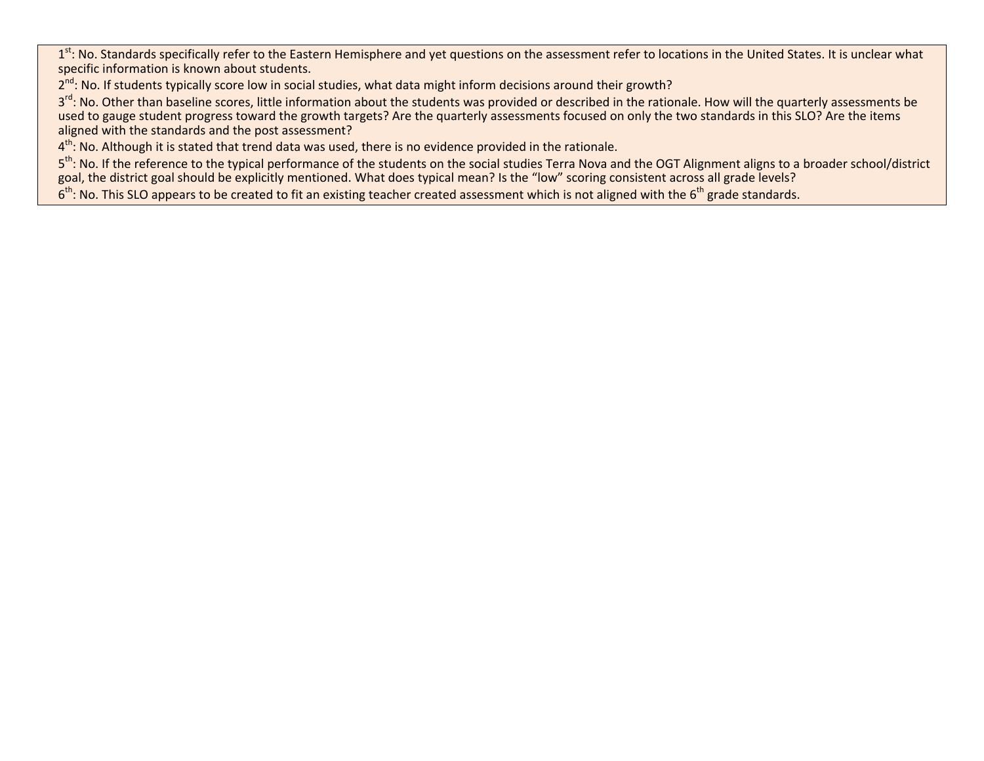1<sup>st</sup>: No. Standards specifically refer to the Eastern Hemisphere and yet questions on the assessment refer to locations in the United States. It is unclear what specific information is known about students.

2<sup>nd</sup>: No. If students typically score low in social studies, what data might inform decisions around their growth?

3<sup>rd</sup>: No. Other than baseline scores, little information about the students was provided or described in the rationale. How will the quarterly assessments be used to gauge student progress toward the growth targets? Are the quarterly assessments focused on only the two standards in this SLO? Are the items aligned with the standards and the post assessment?

 $4^{\text{th}}$ : No. Although it is stated that trend data was used, there is no evidence provided in the rationale.

5<sup>th</sup>: No. If the reference to the typical performance of the students on the social studies Terra Nova and the OGT Alignment aligns to a broader school/district goal, the district goal should be explicitly mentioned. What does typical mean? Is the "low" scoring consistent across all grade levels?

 $6<sup>th</sup>$ : No. This SLO appears to be created to fit an existing teacher created assessment which is not aligned with the  $6<sup>th</sup>$  grade standards.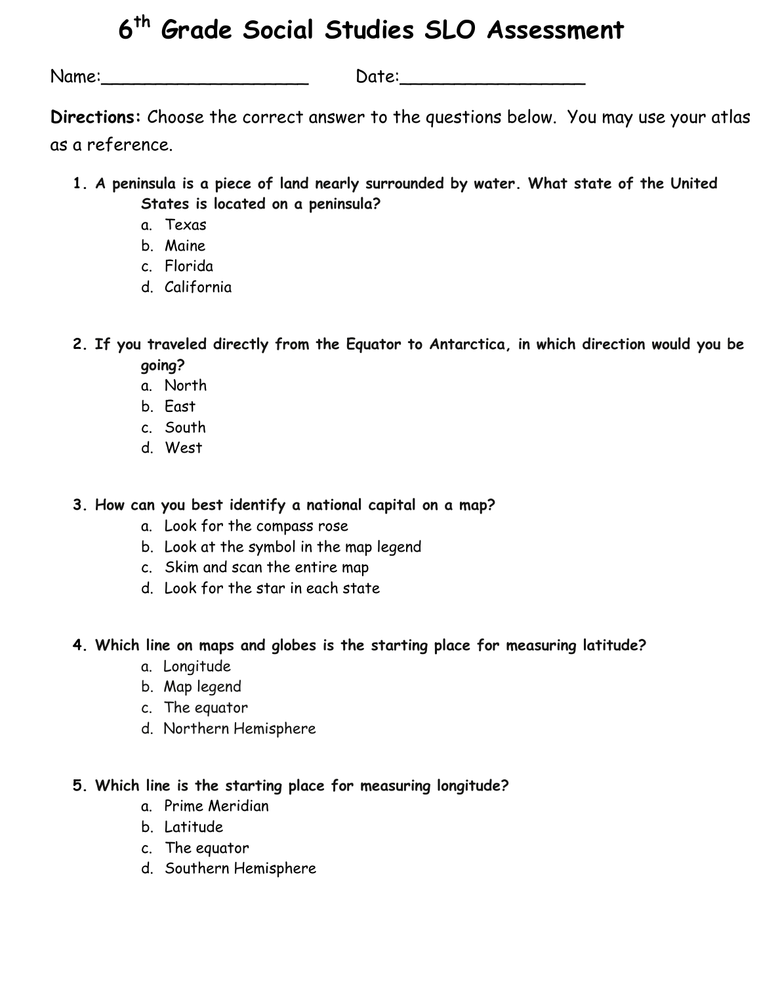# **6th Grade Social Studies SLO Assessment**

Name:\_\_\_\_\_\_\_\_\_\_\_\_\_\_\_\_\_\_\_ Date:\_\_\_\_\_\_\_\_\_\_\_\_\_\_\_\_\_

**Directions:** Choose the correct answer to the questions below. You may use your atlas as a reference.

- **1. A peninsula is a piece of land nearly surrounded by water. What state of the United States is located on a peninsula?** 
	- a. Texas
	- b. Maine
	- c. Florida
	- d. California

**2. If you traveled directly from the Equator to Antarctica, in which direction would you be going?** 

- a. North
- b. East
- c. South
- d. West

**3. How can you best identify a national capital on a map?** 

- a. Look for the compass rose
- b. Look at the symbol in the map legend
- c. Skim and scan the entire map
- d. Look for the star in each state

**4. Which line on maps and globes is the starting place for measuring latitude?** 

- a. Longitude
- b. Map legend
- c. The equator
- d. Northern Hemisphere
- **5. Which line is the starting place for measuring longitude?** 
	- a. Prime Meridian
	- b. Latitude
	- c. The equator
	- d. Southern Hemisphere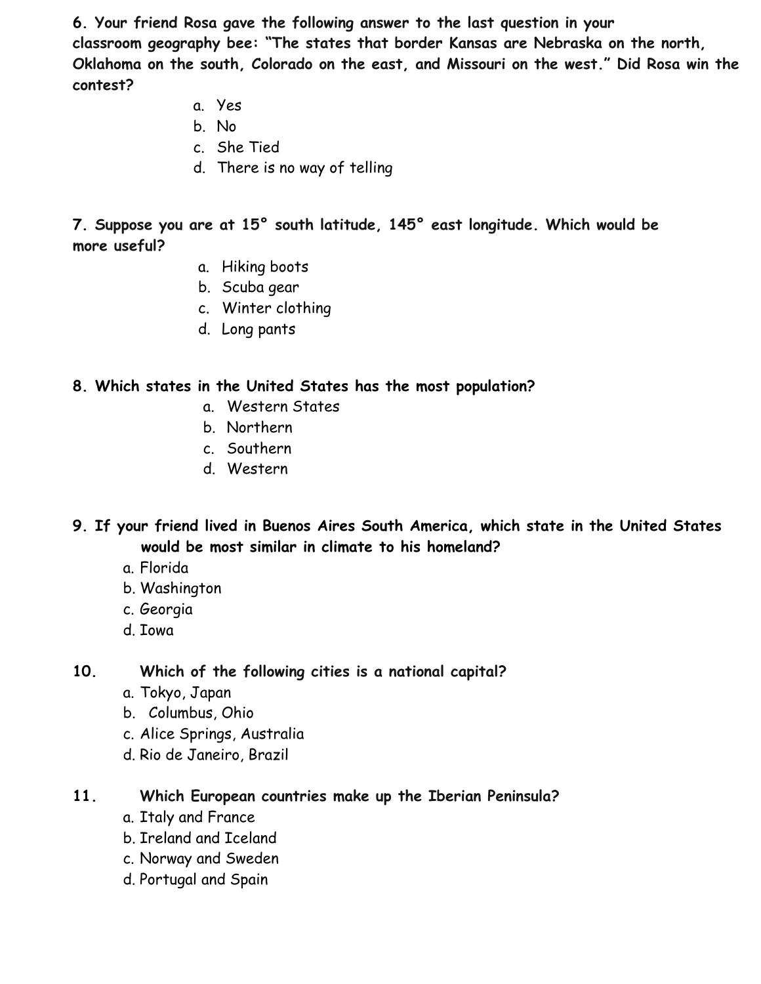**6. Your friend Rosa gave the following answer to the last question in your classroom geography bee: "The states that border Kansas are Nebraska on the north, Oklahoma on the south, Colorado on the east, and Missouri on the west." Did Rosa win the contest?** 

- a. Yes
- b. No
- c. She Tied
- d. There is no way of telling

**7. Suppose you are at 15° south latitude, 145° east longitude. Which would be more useful?** 

- a. Hiking boots
- b. Scuba gear
- c. Winter clothing
- d. Long pants

### **8. Which states in the United States has the most population?**

- a. Western States
- b. Northern
- c. Southern
- d. Western
- **9. If your friend lived in Buenos Aires South America, which state in the United States would be most similar in climate to his homeland?** 
	- a. Florida
	- b. Washington
	- c. Georgia
	- d. Iowa

**10. Which of the following cities is a national capital?** 

- a. Tokyo, Japan
- b. Columbus, Ohio
- c. Alice Springs, Australia
- d. Rio de Janeiro, Brazil

### **11. Which European countries make up the Iberian Peninsula?**

- a. Italy and France
- b. Ireland and Iceland
- c. Norway and Sweden
- d. Portugal and Spain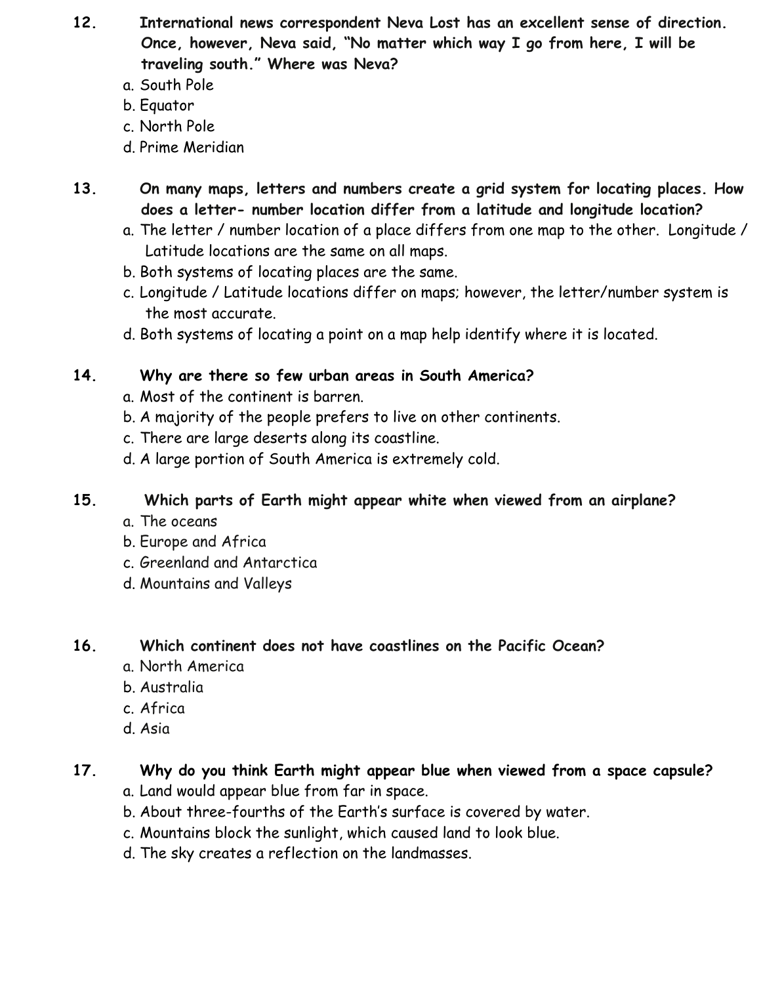- **12. International news correspondent Neva Lost has an excellent sense of direction. Once, however, Neva said, "No matter which way I go from here, I will be traveling south." Where was Neva?**
	- a. South Pole
	- b. Equator
	- c. North Pole
	- d. Prime Meridian
- **13. On many maps, letters and numbers create a grid system for locating places. How does a letter- number location differ from a latitude and longitude location?**
	- a. The letter / number location of a place differs from one map to the other. Longitude / Latitude locations are the same on all maps.
	- b. Both systems of locating places are the same.
	- c. Longitude / Latitude locations differ on maps; however, the letter/number system is the most accurate.
	- d. Both systems of locating a point on a map help identify where it is located.

### **14. Why are there so few urban areas in South America?**

- a. Most of the continent is barren.
- b. A majority of the people prefers to live on other continents.
- c. There are large deserts along its coastline.
- d. A large portion of South America is extremely cold.

### **15. Which parts of Earth might appear white when viewed from an airplane?**

- a. The oceans
- b. Europe and Africa
- c. Greenland and Antarctica
- d. Mountains and Valleys

### **16. Which continent does not have coastlines on the Pacific Ocean?**

- a. North America
- b. Australia
- c. Africa
- d. Asia

### **17. Why do you think Earth might appear blue when viewed from a space capsule?**

- a. Land would appear blue from far in space.
- b. About three-fourths of the Earth's surface is covered by water.
- c. Mountains block the sunlight, which caused land to look blue.
- d. The sky creates a reflection on the landmasses.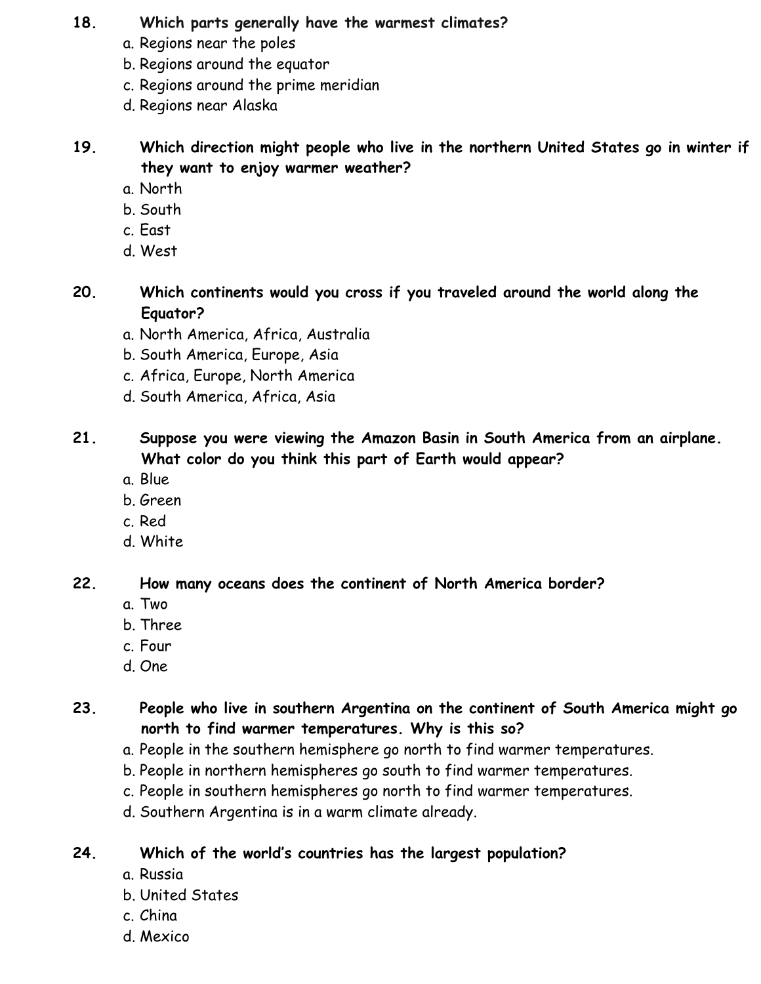### **18. Which parts generally have the warmest climates?**

- a. Regions near the poles
- b. Regions around the equator
- c. Regions around the prime meridian
- d. Regions near Alaska

**19. Which direction might people who live in the northern United States go in winter if they want to enjoy warmer weather?** 

- a. North
- b. South
- c. East
- d. West

**20. Which continents would you cross if you traveled around the world along the Equator?** 

- a. North America, Africa, Australia
- b. South America, Europe, Asia
- c. Africa, Europe, North America
- d. South America, Africa, Asia

**21. Suppose you were viewing the Amazon Basin in South America from an airplane. What color do you think this part of Earth would appear?** 

- a. Blue
- b. Green
- c. Red
- d. White

**22. How many oceans does the continent of North America border?** 

- a. Two
- b. Three
- c. Four
- d. One

**23. People who live in southern Argentina on the continent of South America might go north to find warmer temperatures. Why is this so?** 

- a. People in the southern hemisphere go north to find warmer temperatures.
- b. People in northern hemispheres go south to find warmer temperatures.
- c. People in southern hemispheres go north to find warmer temperatures.
- d. Southern Argentina is in a warm climate already.

**24. Which of the world's countries has the largest population?** 

- a. Russia
- b. United States
- c. China
- d. Mexico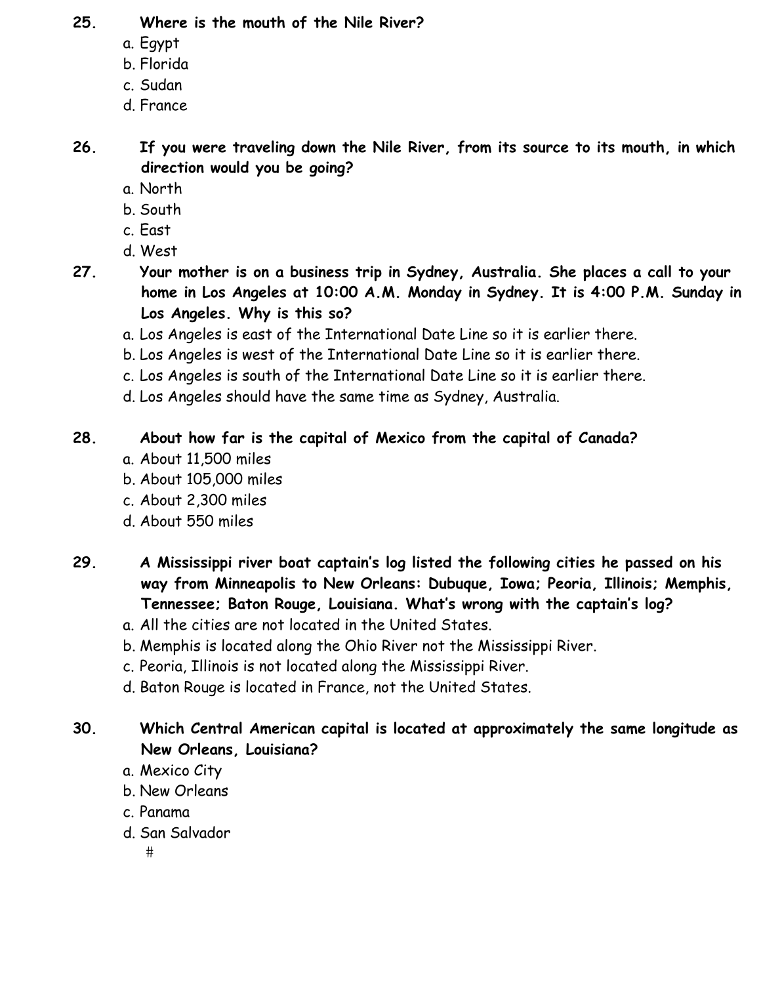### **25. Where is the mouth of the Nile River?**

- a. Egypt
- b. Florida
- c. Sudan
- d. France

**26. If you were traveling down the Nile River, from its source to its mouth, in which direction would you be going?** 

- a. North
- b. South
- c. East
- d. West
- **27. Your mother is on a business trip in Sydney, Australia. She places a call to your home in Los Angeles at 10:00 A.M. Monday in Sydney. It is 4:00 P.M. Sunday in Los Angeles. Why is this so?** 
	- a. Los Angeles is east of the International Date Line so it is earlier there.
	- b. Los Angeles is west of the International Date Line so it is earlier there.
	- c. Los Angeles is south of the International Date Line so it is earlier there.
	- d. Los Angeles should have the same time as Sydney, Australia.

### **28. About how far is the capital of Mexico from the capital of Canada?**

- a. About 11,500 miles
- b. About 105,000 miles
- c. About 2,300 miles
- d. About 550 miles
- **29. A Mississippi river boat captain's log listed the following cities he passed on his way from Minneapolis to New Orleans: Dubuque, Iowa; Peoria, Illinois; Memphis, Tennessee; Baton Rouge, Louisiana. What's wrong with the captain's log?** 
	- a. All the cities are not located in the United States.
	- b. Memphis is located along the Ohio River not the Mississippi River.
	- c. Peoria, Illinois is not located along the Mississippi River.
	- d. Baton Rouge is located in France, not the United States.

### **30. Which Central American capital is located at approximately the same longitude as New Orleans, Louisiana?**

- a. Mexico City
- b. New Orleans
- c. Panama
- d. San Salvador
	- $#$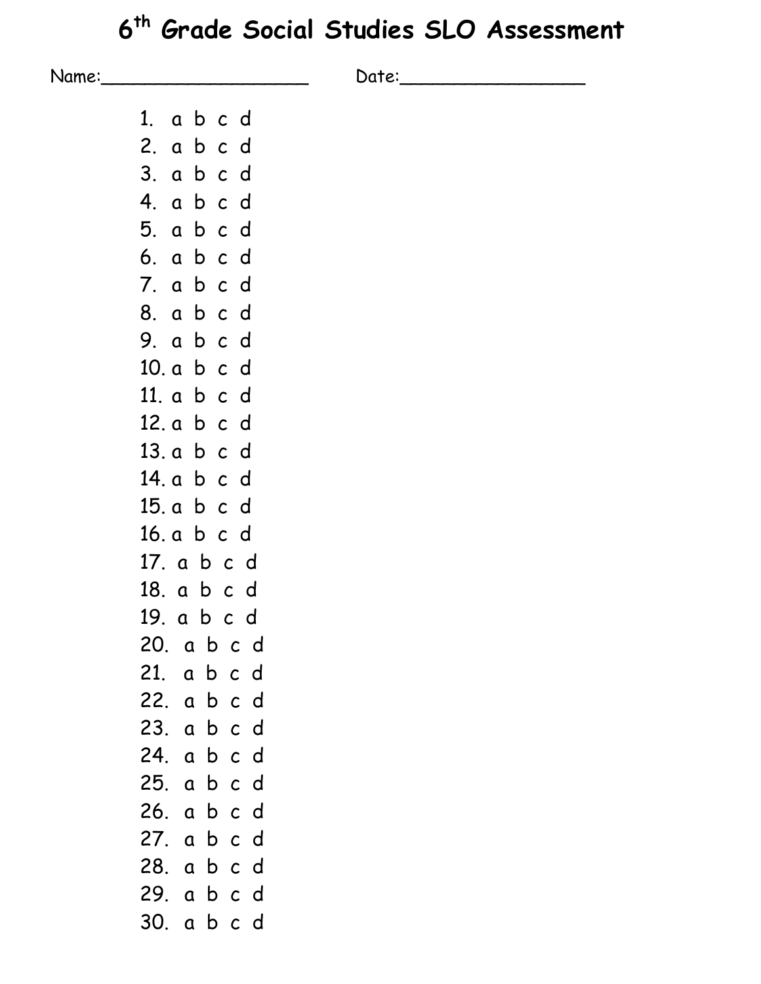# **6th Grade Social Studies SLO Assessment**

| Name: |             | Date: |  |
|-------|-------------|-------|--|
|       | 1. a b c d  |       |  |
|       | 2. a b c d  |       |  |
|       | 3. a b c d  |       |  |
|       | 4. a b c d  |       |  |
|       | 5. a b c d  |       |  |
|       | 6. a b c d  |       |  |
|       | 7. a b c d  |       |  |
|       | 8. a b c d  |       |  |
|       | 9. abcd     |       |  |
|       | 10. a b c d |       |  |
|       | 11. a b c d |       |  |
|       | 12. a b c d |       |  |
|       | 13. a b c d |       |  |
|       | 14. a b c d |       |  |
|       | 15. a b c d |       |  |
|       | 16. a b c d |       |  |
|       | 17. a b c d |       |  |
|       | 18. a b c d |       |  |
|       | 19. a b c d |       |  |
|       | 20. a b c d |       |  |
|       | 21. a b c d |       |  |
|       | 22. a b c d |       |  |
|       | 23. a b c d |       |  |
|       | 24. a b c d |       |  |
|       | 25. a b c d |       |  |
|       | 26. a b c d |       |  |
|       | 27. a b c d |       |  |
|       | 28. a b c d |       |  |
|       | 29. a b c d |       |  |

30. a b c d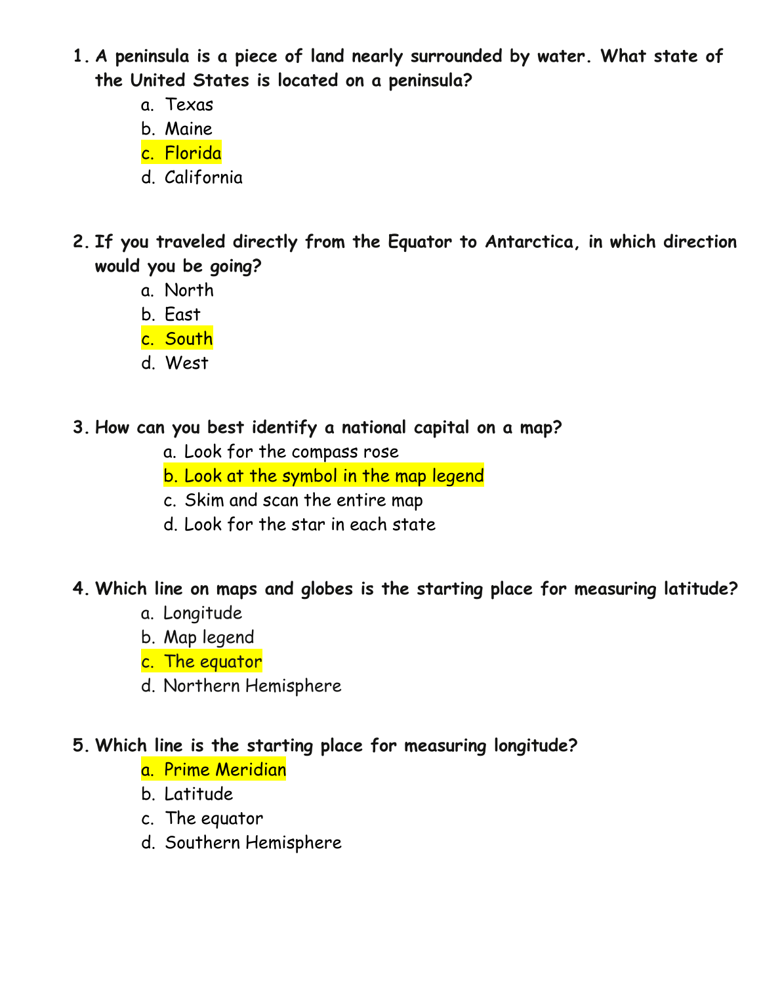- **1. A peninsula is a piece of land nearly surrounded by water. What state of the United States is located on a peninsula?** 
	- a. Texas
	- b. Maine
	- c. Florida
	- d. California
- **2. If you traveled directly from the Equator to Antarctica, in which direction would you be going?** 
	- a. North
	- b. East
	- c. South
	- d. West
- **3. How can you best identify a national capital on a map?** 
	- a. Look for the compass rose
	- b. Look at the symbol in the map legend
	- c. Skim and scan the entire map
	- d. Look for the star in each state

## **4. Which line on maps and globes is the starting place for measuring latitude?**

- a. Longitude
- b. Map legend
- c. The equator
- d. Northern Hemisphere

# **5. Which line is the starting place for measuring longitude?**

- a. Prime Meridian
- b. Latitude
- c. The equator
- d. Southern Hemisphere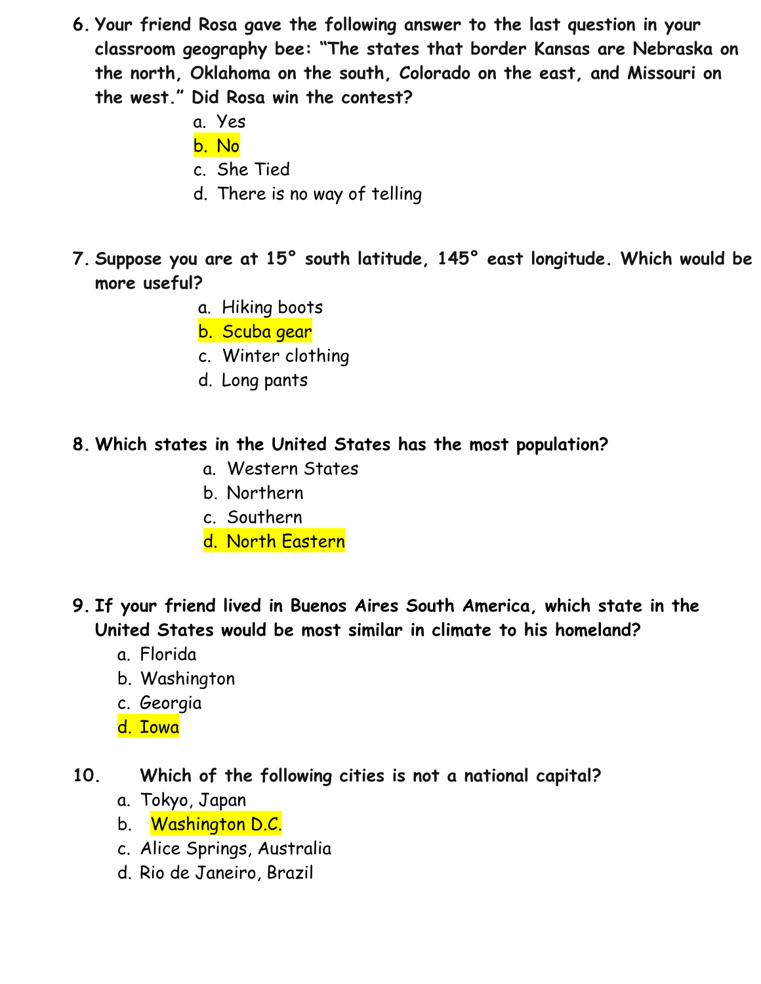- **6. Your friend Rosa gave the following answer to the last question in your classroom geography bee: "The states that border Kansas are Nebraska on the north, Oklahoma on the south, Colorado on the east, and Missouri on the west." Did Rosa win the contest?** 
	- a. Yes
	- b. No
	- c. She Tied
	- d. There is no way of telling
- **7. Suppose you are at 15° south latitude, 145° east longitude. Which would be more useful?** 
	- a. Hiking boots
	- b. Scuba gear
	- c. Winter clothing
	- d. Long pants

### **8. Which states in the United States has the most population?**

- a. Western States
- b. Northern
- c. Southern
- d. North Eastern
- **9. If your friend lived in Buenos Aires South America, which state in the United States would be most similar in climate to his homeland?** 
	- a. Florida
	- b. Washington
	- c. Georgia
	- d. Iowa
- **10. Which of the following cities is not a national capital?** 
	- a. Tokyo, Japan
	- b. Washington D.C.
	- c. Alice Springs, Australia
	- d. Rio de Janeiro, Brazil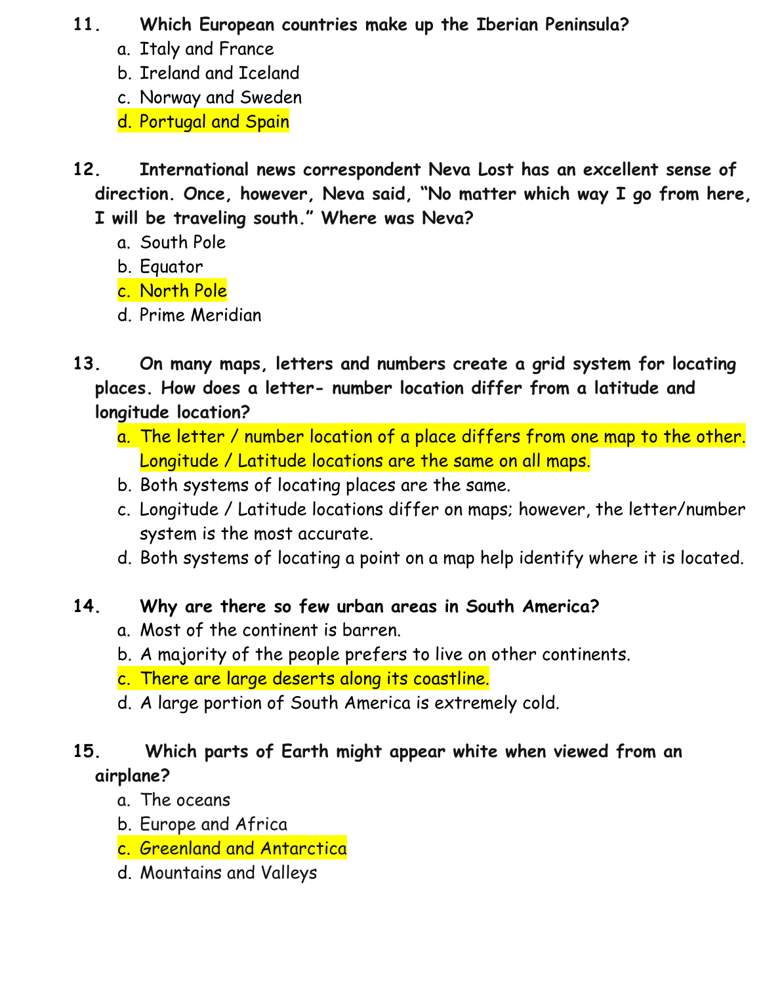### **11. Which European countries make up the Iberian Peninsula?**

- a. Italy and France
- b. Ireland and Iceland
- c. Norway and Sweden
- d. Portugal and Spain
- **12. International news correspondent Neva Lost has an excellent sense of direction. Once, however, Neva said, "No matter which way I go from here, I will be traveling south." Where was Neva?**
	- a. South Pole
	- b. Equator
	- c. North Pole
	- d. Prime Meridian
- **13. On many maps, letters and numbers create a grid system for locating places. How does a letter- number location differ from a latitude and longitude location?**
	- a. The letter / number location of a place differs from one map to the other. Longitude / Latitude locations are the same on all maps.
	- b. Both systems of locating places are the same.
	- c. Longitude / Latitude locations differ on maps; however, the letter/number system is the most accurate.
	- d. Both systems of locating a point on a map help identify where it is located.

# **14. Why are there so few urban areas in South America?**

- a. Most of the continent is barren.
- b. A majority of the people prefers to live on other continents.
- c. There are large deserts along its coastline.
- d. A large portion of South America is extremely cold.

# **15. Which parts of Earth might appear white when viewed from an airplane?**

- a. The oceans
- b. Europe and Africa
- c. Greenland and Antarctica
- d. Mountains and Valleys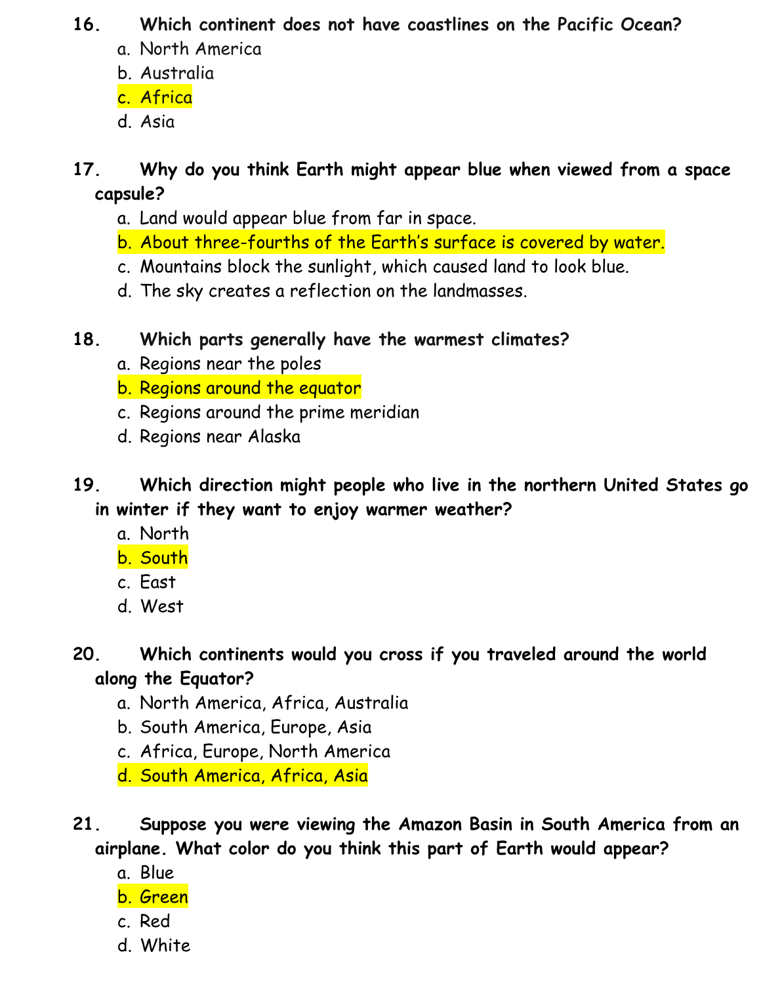## **16. Which continent does not have coastlines on the Pacific Ocean?**

- a. North America
- b. Australia
- c. Africa
- d. Asia

# **17. Why do you think Earth might appear blue when viewed from a space capsule?**

- a. Land would appear blue from far in space.
- b. About three-fourths of the Earth's surface is covered by water.
- c. Mountains block the sunlight, which caused land to look blue.
- d. The sky creates a reflection on the landmasses.
- **18. Which parts generally have the warmest climates?** 
	- a. Regions near the poles
	- b. Regions around the equator
	- c. Regions around the prime meridian
	- d. Regions near Alaska
- **19. Which direction might people who live in the northern United States go in winter if they want to enjoy warmer weather?** 
	- a. North
	- b. South
	- c. East
	- d. West

# **20. Which continents would you cross if you traveled around the world along the Equator?**

- a. North America, Africa, Australia
- b. South America, Europe, Asia
- c. Africa, Europe, North America
- d. South America, Africa, Asia
- **21. Suppose you were viewing the Amazon Basin in South America from an airplane. What color do you think this part of Earth would appear?** 
	- a. Blue
	- b. Green
	- c. Red
	- d. White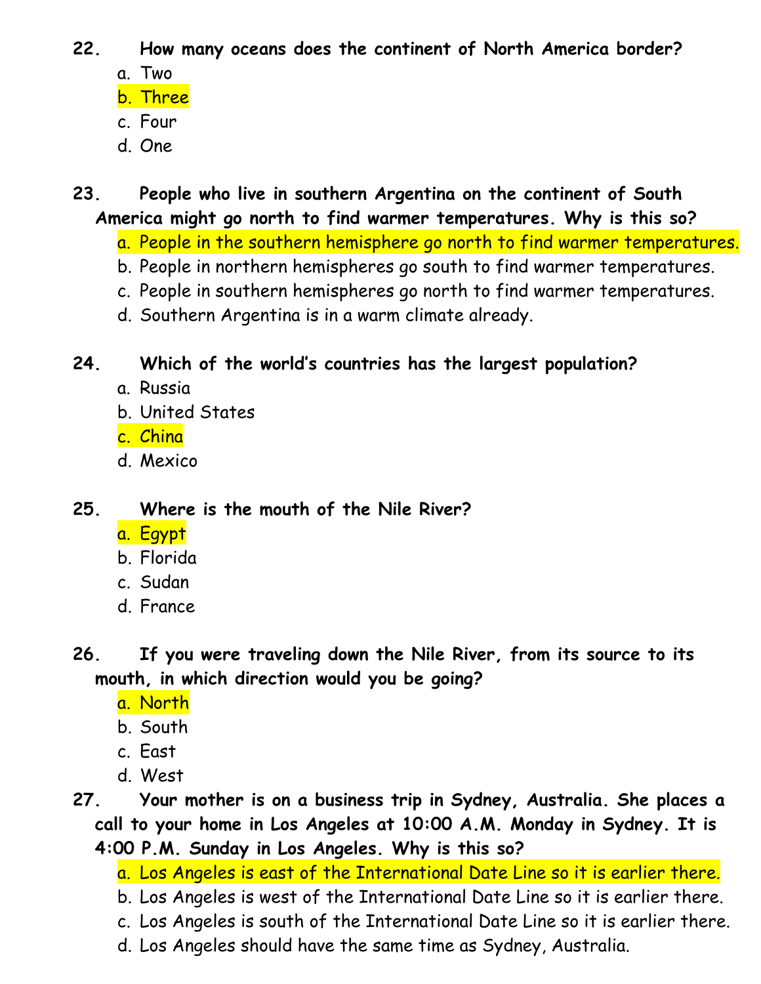- **22. How many oceans does the continent of North America border?** 
	- a. Two
	- b. Three
	- c. Four
	- d. One
- **23. People who live in southern Argentina on the continent of South America might go north to find warmer temperatures. Why is this so?** 
	- a. People in the southern hemisphere go north to find warmer temperatures.
	- b. People in northern hemispheres go south to find warmer temperatures.
	- c. People in southern hemispheres go north to find warmer temperatures.
	- d. Southern Argentina is in a warm climate already.

# **24. Which of the world's countries has the largest population?**

- a. Russia
- b. United States
- c. China
- d. Mexico
- **25. Where is the mouth of the Nile River?** 
	- a. Egypt
	- b. Florida
	- c. Sudan
	- d. France
- **26. If you were traveling down the Nile River, from its source to its mouth, in which direction would you be going?** 
	- a. North
	- b. South
	- c. East
	- d. West
- **27. Your mother is on a business trip in Sydney, Australia. She places a call to your home in Los Angeles at 10:00 A.M. Monday in Sydney. It is 4:00 P.M. Sunday in Los Angeles. Why is this so?** 
	- a. Los Angeles is east of the International Date Line so it is earlier there.
	- b. Los Angeles is west of the International Date Line so it is earlier there.
	- c. Los Angeles is south of the International Date Line so it is earlier there.
	- d. Los Angeles should have the same time as Sydney, Australia.